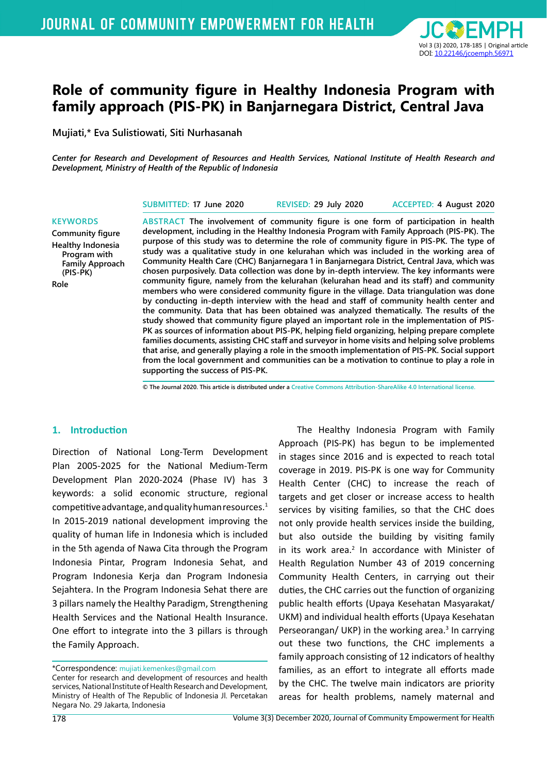

# **Role of community figure in Healthy Indonesia Program with family approach (PIS-PK) in Banjarnegara District, Central Java**

**Mujiati,\* Eva Sulistiowati, Siti Nurhasanah**

*Center for Research and Development of Resources and Health Services, National Institute of Health Research and Development, Ministry of Health of the Republic of Indonesia*

**SUBMITTED: 17 June 2020 REVISED: 29 July 2020 ACCEPTED: 4 August 2020**

**Community figure Healthy Indonesia Program with Family Approach (PIS-PK) Role** 

**KEYWORDS**

**ABSTRACT The involvement of community figure is one form of participation in health development, including in the Healthy Indonesia Program with Family Approach (PIS-PK). The purpose of this study was to determine the role of community figure in PIS-PK. The type of study was a qualitative study in one kelurahan which was included in the working area of Community Health Care (CHC) Banjarnegara 1 in Banjarnegara District, Central Java, which was chosen purposively. Data collection was done by in-depth interview. The key informants were community figure, namely from the kelurahan (kelurahan head and its staff) and community members who were considered community figure in the village. Data triangulation was done by conducting in-depth interview with the head and staff of community health center and the community. Data that has been obtained was analyzed thematically. The results of the study showed that community figure played an important role in the implementation of PIS-PK as sources of information about PIS-PK, helping field organizing, helping prepare complete families documents, assisting CHC staff and surveyor in home visits and helping solve problems that arise, and generally playing a role in the smooth implementation of PIS-PK. Social support from the local government and communities can be a motivation to continue to play a role in supporting the success of PIS-PK.**

**© The Journal 2020. This article is distributed under a Creative Commons Attribution-ShareAlike 4.0 International license.**

#### **1. Introduction**

Direction of National Long-Term Development Plan 2005-2025 for the National Medium-Term Development Plan 2020-2024 (Phase IV) has 3 keywords: a solid economic structure, regional competitive advantage, and quality human resources. $1$ In 2015-2019 national development improving the quality of human life in Indonesia which is included in the 5th agenda of Nawa Cita through the Program Indonesia Pintar, Program Indonesia Sehat, and Program Indonesia Kerja dan Program Indonesia Sejahtera. In the Program Indonesia Sehat there are 3 pillars namely the Healthy Paradigm, Strengthening Health Services and the National Health Insurance. One effort to integrate into the 3 pillars is through the Family Approach.

\*Correspondence: mujiati.kemenkes@gmail.com

Center for research and development of resources and health services, National Institute of Health Research and Development, Ministry of Health of The Republic of Indonesia Jl. Percetakan Negara No. 29 Jakarta, Indonesia

The Healthy Indonesia Program with Family Approach (PIS-PK) has begun to be implemented in stages since 2016 and is expected to reach total coverage in 2019. PIS-PK is one way for Community Health Center (CHC) to increase the reach of targets and get closer or increase access to health services by visiting families, so that the CHC does not only provide health services inside the building, but also outside the building by visiting family in its work area.<sup>2</sup> In accordance with Minister of Health Regulation Number 43 of 2019 concerning Community Health Centers, in carrying out their duties, the CHC carries out the function of organizing public health efforts (Upaya Kesehatan Masyarakat/ UKM) and individual health efforts (Upaya Kesehatan Perseorangan/ UKP) in the working area.<sup>3</sup> In carrying out these two functions, the CHC implements a family approach consisting of 12 indicators of healthy families, as an effort to integrate all efforts made by the CHC. The twelve main indicators are priority areas for health problems, namely maternal and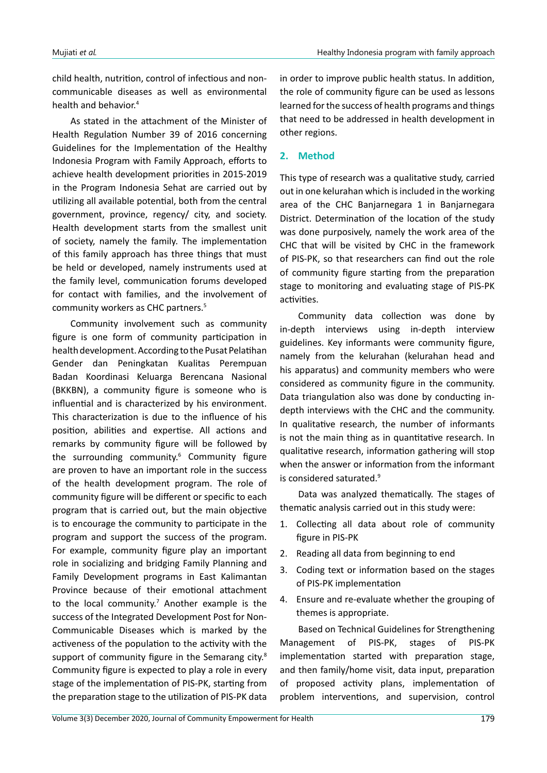child health, nutrition, control of infectious and noncommunicable diseases as well as environmental health and behavior.4

As stated in the attachment of the Minister of Health Regulation Number 39 of 2016 concerning Guidelines for the Implementation of the Healthy Indonesia Program with Family Approach, efforts to achieve health development priorities in 2015-2019 in the Program Indonesia Sehat are carried out by utilizing all available potential, both from the central government, province, regency/ city, and society. Health development starts from the smallest unit of society, namely the family. The implementation of this family approach has three things that must be held or developed, namely instruments used at the family level, communication forums developed for contact with families, and the involvement of community workers as CHC partners.<sup>5</sup>

Community involvement such as community figure is one form of community participation in health development. According to the Pusat Pelatihan Gender dan Peningkatan Kualitas Perempuan Badan Koordinasi Keluarga Berencana Nasional (BKKBN), a community figure is someone who is influential and is characterized by his environment. This characterization is due to the influence of his position, abilities and expertise. All actions and remarks by community figure will be followed by the surrounding community.<sup>6</sup> Community figure are proven to have an important role in the success of the health development program. The role of community figure will be different or specific to each program that is carried out, but the main objective is to encourage the community to participate in the program and support the success of the program. For example, community figure play an important role in socializing and bridging Family Planning and Family Development programs in East Kalimantan Province because of their emotional attachment to the local community.<sup>7</sup> Another example is the success of the Integrated Development Post for Non-Communicable Diseases which is marked by the activeness of the population to the activity with the support of community figure in the Semarang city.<sup>8</sup> Community figure is expected to play a role in every stage of the implementation of PIS-PK, starting from the preparation stage to the utilization of PIS-PK data

in order to improve public health status. In addition, the role of community figure can be used as lessons learned for the success of health programs and things that need to be addressed in health development in other regions.

## **2. Method**

This type of research was a qualitative study, carried out in one kelurahan which is included in the working area of the CHC Banjarnegara 1 in Banjarnegara District. Determination of the location of the study was done purposively, namely the work area of the CHC that will be visited by CHC in the framework of PIS-PK, so that researchers can find out the role of community figure starting from the preparation stage to monitoring and evaluating stage of PIS-PK activities.

Community data collection was done by in-depth interviews using in-depth interview guidelines. Key informants were community figure, namely from the kelurahan (kelurahan head and his apparatus) and community members who were considered as community figure in the community. Data triangulation also was done by conducting indepth interviews with the CHC and the community. In qualitative research, the number of informants is not the main thing as in quantitative research. In qualitative research, information gathering will stop when the answer or information from the informant is considered saturated.9

Data was analyzed thematically. The stages of thematic analysis carried out in this study were:

- 1. Collecting all data about role of community figure in PIS-PK
- 2. Reading all data from beginning to end
- 3. Coding text or information based on the stages of PIS-PK implementation
- 4. Ensure and re-evaluate whether the grouping of themes is appropriate.

Based on Technical Guidelines for Strengthening Management of PIS-PK, stages of PIS-PK implementation started with preparation stage, and then family/home visit, data input, preparation of proposed activity plans, implementation of problem interventions, and supervision, control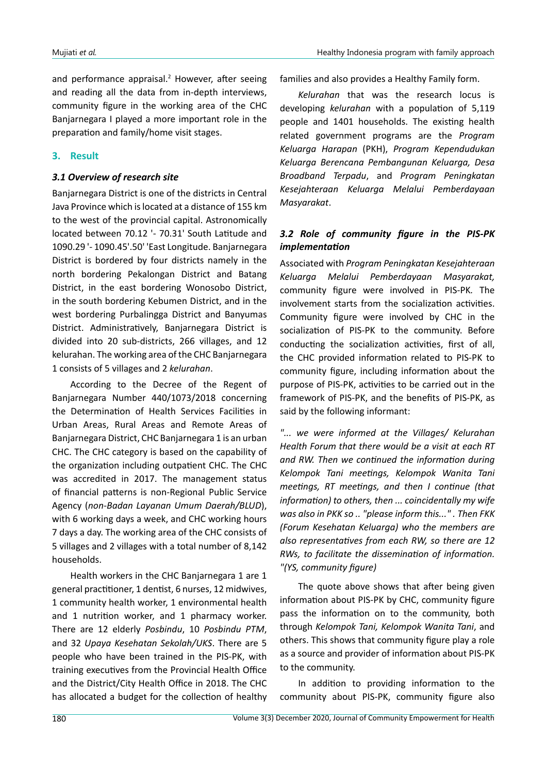and performance appraisal.<sup>2</sup> However, after seeing and reading all the data from in-depth interviews, community figure in the working area of the CHC Banjarnegara I played a more important role in the preparation and family/home visit stages.

## **3. Result**

#### *3.1 Overview of research site*

Banjarnegara District is one of the districts in Central Java Province which is located at a distance of 155 km to the west of the provincial capital. Astronomically located between 70.12 '- 70.31' South Latitude and 1090.29 '- 1090.45'.50' 'East Longitude. Banjarnegara District is bordered by four districts namely in the north bordering Pekalongan District and Batang District, in the east bordering Wonosobo District, in the south bordering Kebumen District, and in the west bordering Purbalingga District and Banyumas District. Administratively, Banjarnegara District is divided into 20 sub-districts, 266 villages, and 12 kelurahan. The working area of the CHC Banjarnegara 1 consists of 5 villages and 2 *kelurahan*.

According to the Decree of the Regent of Banjarnegara Number 440/1073/2018 concerning the Determination of Health Services Facilities in Urban Areas, Rural Areas and Remote Areas of Banjarnegara District, CHC Banjarnegara 1 is an urban CHC. The CHC category is based on the capability of the organization including outpatient CHC. The CHC was accredited in 2017. The management status of financial patterns is non-Regional Public Service Agency (*non-Badan Layanan Umum Daerah/BLUD*), with 6 working days a week, and CHC working hours 7 days a day. The working area of the CHC consists of 5 villages and 2 villages with a total number of 8,142 households.

Health workers in the CHC Banjarnegara 1 are 1 general practitioner, 1 dentist, 6 nurses, 12 midwives, 1 community health worker, 1 environmental health and 1 nutrition worker, and 1 pharmacy worker. There are 12 elderly *Posbindu*, 10 *Posbindu PTM*, and 32 *Upaya Kesehatan Sekolah/UKS*. There are 5 people who have been trained in the PIS-PK, with training executives from the Provincial Health Office and the District/City Health Office in 2018. The CHC has allocated a budget for the collection of healthy

families and also provides a Healthy Family form.

*Kelurahan* that was the research locus is developing *kelurahan* with a population of 5,119 people and 1401 households. The existing health related government programs are the *Program Keluarga Harapan* (PKH), *Program Kependudukan Keluarga Berencana Pembangunan Keluarga, Desa Broadband Terpadu*, and *Program Peningkatan Kesejahteraan Keluarga Melalui Pemberdayaan Masyarakat*.

# *3.2 Role of community figure in the PIS-PK implementation*

Associated with *Program Peningkatan Kesejahteraan Keluarga Melalui Pemberdayaan Masyarakat,*  community figure were involved in PIS-PK*.* The involvement starts from the socialization activities. Community figure were involved by CHC in the socialization of PIS-PK to the community. Before conducting the socialization activities, first of all, the CHC provided information related to PIS-PK to community figure, including information about the purpose of PIS-PK, activities to be carried out in the framework of PIS-PK, and the benefits of PIS-PK, as said by the following informant:

*"... we were informed at the Villages/ Kelurahan Health Forum that there would be a visit at each RT and RW. Then we continued the information during Kelompok Tani meetings, Kelompok Wanita Tani meetings, RT meetings, and then I continue (that information) to others, then ... coincidentally my wife was also in PKK so .. "please inform this..." . Then FKK (Forum Kesehatan Keluarga) who the members are also representatives from each RW, so there are 12 RWs, to facilitate the dissemination of information. "(YS, community figure)*

The quote above shows that after being given information about PIS-PK by CHC, community figure pass the information on to the community, both through *Kelompok Tani, Kelompok Wanita Tani*, and others. This shows that community figure play a role as a source and provider of information about PIS-PK to the community.

In addition to providing information to the community about PIS-PK, community figure also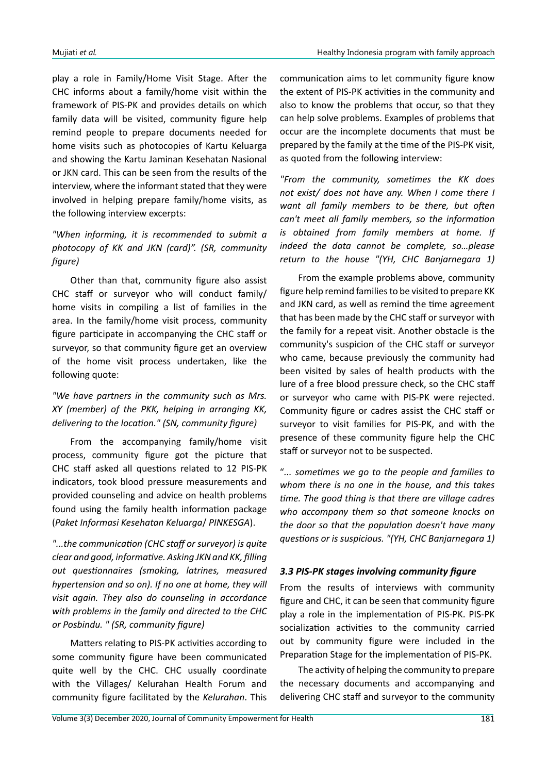play a role in Family/Home Visit Stage. After the CHC informs about a family/home visit within the framework of PIS-PK and provides details on which family data will be visited, community figure help remind people to prepare documents needed for home visits such as photocopies of Kartu Keluarga and showing the Kartu Jaminan Kesehatan Nasional or JKN card. This can be seen from the results of the interview, where the informant stated that they were involved in helping prepare family/home visits, as the following interview excerpts:

# *"When informing, it is recommended to submit a photocopy of KK and JKN (card)". (SR, community figure)*

Other than that, community figure also assist CHC staff or surveyor who will conduct family/ home visits in compiling a list of families in the area. In the family/home visit process, community figure participate in accompanying the CHC staff or surveyor, so that community figure get an overview of the home visit process undertaken, like the following quote:

## *"We have partners in the community such as Mrs. XY (member) of the PKK, helping in arranging KK, delivering to the location." (SN, community figure)*

From the accompanying family/home visit process, community figure got the picture that CHC staff asked all questions related to 12 PIS-PK indicators, took blood pressure measurements and provided counseling and advice on health problems found using the family health information package (*Paket Informasi Kesehatan Keluarga*/ *PINKESGA*).

*"...the communication (CHC staff or surveyor) is quite clear and good, informative. Asking JKN and KK, filling out questionnaires (smoking, latrines, measured hypertension and so on). If no one at home, they will visit again. They also do counseling in accordance with problems in the family and directed to the CHC or Posbindu. " (SR, community figure)*

Matters relating to PIS-PK activities according to some community figure have been communicated quite well by the CHC. CHC usually coordinate with the Villages/ Kelurahan Health Forum and community figure facilitated by the *Kelurahan*. This communication aims to let community figure know the extent of PIS-PK activities in the community and also to know the problems that occur, so that they can help solve problems. Examples of problems that occur are the incomplete documents that must be prepared by the family at the time of the PIS-PK visit, as quoted from the following interview:

*"From the community, sometimes the KK does not exist/ does not have any. When I come there I want all family members to be there, but often can't meet all family members, so the information is obtained from family members at home. If indeed the data cannot be complete, so…please return to the house "(YH, CHC Banjarnegara 1)*

From the example problems above, community figure help remind families to be visited to prepare KK and JKN card, as well as remind the time agreement that has been made by the CHC staff or surveyor with the family for a repeat visit. Another obstacle is the community's suspicion of the CHC staff or surveyor who came, because previously the community had been visited by sales of health products with the lure of a free blood pressure check, so the CHC staff or surveyor who came with PIS-PK were rejected. Community figure or cadres assist the CHC staff or surveyor to visit families for PIS-PK, and with the presence of these community figure help the CHC staff or surveyor not to be suspected.

"*... sometimes we go to the people and families to whom there is no one in the house, and this takes time. The good thing is that there are village cadres who accompany them so that someone knocks on the door so that the population doesn't have many questions or is suspicious. "(YH, CHC Banjarnegara 1)*

#### *3.3 PIS-PK stages involving community figure*

From the results of interviews with community figure and CHC, it can be seen that community figure play a role in the implementation of PIS-PK. PIS-PK socialization activities to the community carried out by community figure were included in the Preparation Stage for the implementation of PIS-PK.

The activity of helping the community to prepare the necessary documents and accompanying and delivering CHC staff and surveyor to the community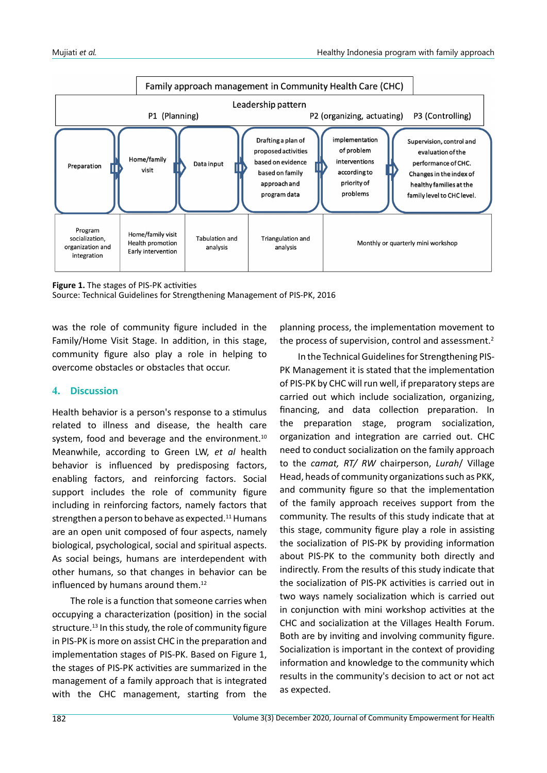

**Figure 1.** The stages of PIS-PK activities

Source: Technical Guidelines for Strengthening Management of PIS-PK, 2016

was the role of community figure included in the Family/Home Visit Stage. In addition, in this stage, community figure also play a role in helping to overcome obstacles or obstacles that occur.

#### **4. Discussion**

Health behavior is a person's response to a stimulus related to illness and disease, the health care system, food and beverage and the environment.<sup>10</sup> Meanwhile, according to Green LW, *et al* health behavior is influenced by predisposing factors, enabling factors, and reinforcing factors. Social support includes the role of community figure including in reinforcing factors, namely factors that strengthen a person to behave as expected.<sup>11</sup> Humans are an open unit composed of four aspects, namely biological, psychological, social and spiritual aspects. As social beings, humans are interdependent with other humans, so that changes in behavior can be influenced by humans around them.<sup>12</sup>

The role is a function that someone carries when occupying a characterization (position) in the social structure.<sup>13</sup> In this study, the role of community figure in PIS-PK is more on assist CHC in the preparation and implementation stages of PIS-PK. Based on Figure 1, the stages of PIS-PK activities are summarized in the management of a family approach that is integrated with the CHC management, starting from the

planning process, the implementation movement to the process of supervision, control and assessment.<sup>2</sup>

In the Technical Guidelines for Strengthening PIS-PK Management it is stated that the implementation of PIS-PK by CHC will run well, if preparatory steps are carried out which include socialization, organizing, financing, and data collection preparation. In the preparation stage, program socialization, organization and integration are carried out. CHC need to conduct socialization on the family approach to the *camat, RT/ RW* chairperson, *Lurah*/ Village Head, heads of community organizations such as PKK, and community figure so that the implementation of the family approach receives support from the community. The results of this study indicate that at this stage, community figure play a role in assisting the socialization of PIS-PK by providing information about PIS-PK to the community both directly and indirectly. From the results of this study indicate that the socialization of PIS-PK activities is carried out in two ways namely socialization which is carried out in conjunction with mini workshop activities at the CHC and socialization at the Villages Health Forum. Both are by inviting and involving community figure. Socialization is important in the context of providing information and knowledge to the community which results in the community's decision to act or not act as expected.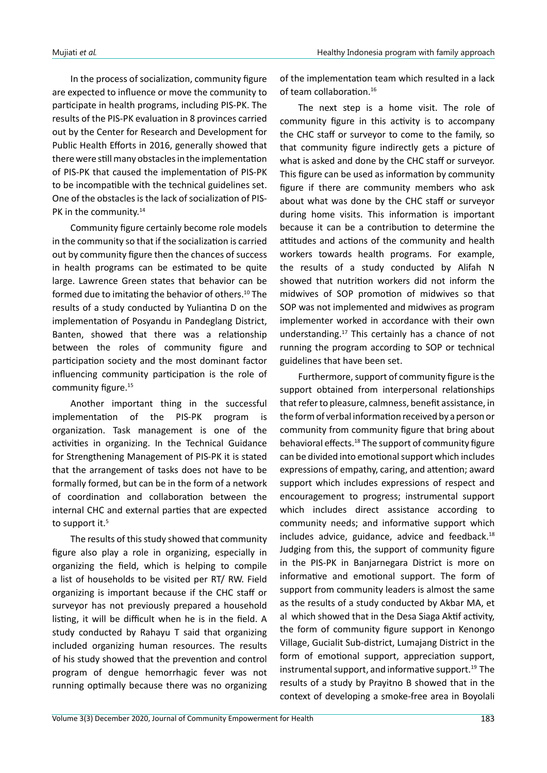In the process of socialization, community figure are expected to influence or move the community to participate in health programs, including PIS-PK. The results of the PIS-PK evaluation in 8 provinces carried out by the Center for Research and Development for Public Health Efforts in 2016, generally showed that there were still many obstacles in the implementation of PIS-PK that caused the implementation of PIS-PK to be incompatible with the technical guidelines set. One of the obstacles is the lack of socialization of PIS-PK in the community.<sup>14</sup>

Community figure certainly become role models in the community so that if the socialization is carried out by community figure then the chances of success in health programs can be estimated to be quite large. Lawrence Green states that behavior can be formed due to imitating the behavior of others.<sup>10</sup> The results of a study conducted by Yuliantina D on the implementation of Posyandu in Pandeglang District, Banten, showed that there was a relationship between the roles of community figure and participation society and the most dominant factor influencing community participation is the role of community figure.<sup>15</sup>

Another important thing in the successful implementation of the PIS-PK program is organization. Task management is one of the activities in organizing. In the Technical Guidance for Strengthening Management of PIS-PK it is stated that the arrangement of tasks does not have to be formally formed, but can be in the form of a network of coordination and collaboration between the internal CHC and external parties that are expected to support it.<sup>5</sup>

The results of this study showed that community figure also play a role in organizing, especially in organizing the field, which is helping to compile a list of households to be visited per RT/ RW. Field organizing is important because if the CHC staff or surveyor has not previously prepared a household listing, it will be difficult when he is in the field. A study conducted by Rahayu T said that organizing included organizing human resources. The results of his study showed that the prevention and control program of dengue hemorrhagic fever was not running optimally because there was no organizing

of the implementation team which resulted in a lack of team collaboration.<sup>16</sup>

The next step is a home visit. The role of community figure in this activity is to accompany the CHC staff or surveyor to come to the family, so that community figure indirectly gets a picture of what is asked and done by the CHC staff or surveyor. This figure can be used as information by community figure if there are community members who ask about what was done by the CHC staff or surveyor during home visits. This information is important because it can be a contribution to determine the attitudes and actions of the community and health workers towards health programs. For example, the results of a study conducted by Alifah N showed that nutrition workers did not inform the midwives of SOP promotion of midwives so that SOP was not implemented and midwives as program implementer worked in accordance with their own understanding.17 This certainly has a chance of not running the program according to SOP or technical guidelines that have been set.

Furthermore, support of community figure is the support obtained from interpersonal relationships that refer to pleasure, calmness, benefit assistance, in the form of verbal information received by a person or community from community figure that bring about behavioral effects.18 The support of community figure can be divided into emotional support which includes expressions of empathy, caring, and attention; award support which includes expressions of respect and encouragement to progress; instrumental support which includes direct assistance according to community needs; and informative support which includes advice, guidance, advice and feedback. $18$ Judging from this, the support of community figure in the PIS-PK in Banjarnegara District is more on informative and emotional support. The form of support from community leaders is almost the same as the results of a study conducted by Akbar MA, et al which showed that in the Desa Siaga Aktif activity, the form of community figure support in Kenongo Village, Gucialit Sub-district, Lumajang District in the form of emotional support, appreciation support, instrumental support, and informative support.<sup>19</sup> The results of a study by Prayitno B showed that in the context of developing a smoke-free area in Boyolali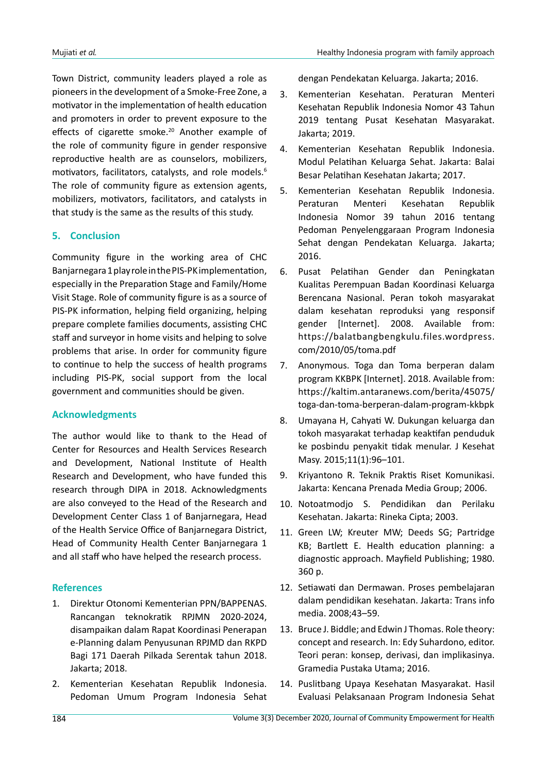Town District, community leaders played a role as pioneers in the development of a Smoke-Free Zone, a motivator in the implementation of health education and promoters in order to prevent exposure to the effects of cigarette smoke.<sup>20</sup> Another example of the role of community figure in gender responsive reproductive health are as counselors, mobilizers, motivators, facilitators, catalysts, and role models.6 The role of community figure as extension agents, mobilizers, motivators, facilitators, and catalysts in that study is the same as the results of this study.

# **5. Conclusion**

Community figure in the working area of CHC Banjarnegara 1 play role in the PIS-PK implementation, especially in the Preparation Stage and Family/Home Visit Stage. Role of community figure is as a source of PIS-PK information, helping field organizing, helping prepare complete families documents, assisting CHC staff and surveyor in home visits and helping to solve problems that arise. In order for community figure to continue to help the success of health programs including PIS-PK, social support from the local government and communities should be given.

## **Acknowledgments**

The author would like to thank to the Head of Center for Resources and Health Services Research and Development, National Institute of Health Research and Development, who have funded this research through DIPA in 2018. Acknowledgments are also conveyed to the Head of the Research and Development Center Class 1 of Banjarnegara, Head of the Health Service Office of Banjarnegara District, Head of Community Health Center Banjarnegara 1 and all staff who have helped the research process.

## **References**

- 1. Direktur Otonomi Kementerian PPN/BAPPENAS. Rancangan teknokratik RPJMN 2020-2024, disampaikan dalam Rapat Koordinasi Penerapan e-Planning dalam Penyusunan RPJMD dan RKPD Bagi 171 Daerah Pilkada Serentak tahun 2018. Jakarta; 2018.
- 2. Kementerian Kesehatan Republik Indonesia. Pedoman Umum Program Indonesia Sehat

dengan Pendekatan Keluarga. Jakarta; 2016.

- 3. Kementerian Kesehatan. Peraturan Menteri Kesehatan Republik Indonesia Nomor 43 Tahun 2019 tentang Pusat Kesehatan Masyarakat. Jakarta; 2019.
- 4. Kementerian Kesehatan Republik Indonesia. Modul Pelatihan Keluarga Sehat. Jakarta: Balai Besar Pelatihan Kesehatan Jakarta; 2017.
- 5. Kementerian Kesehatan Republik Indonesia. Peraturan Menteri Kesehatan Republik Indonesia Nomor 39 tahun 2016 tentang Pedoman Penyelenggaraan Program Indonesia Sehat dengan Pendekatan Keluarga. Jakarta; 2016.
- 6. Pusat Pelatihan Gender dan Peningkatan Kualitas Perempuan Badan Koordinasi Keluarga Berencana Nasional. Peran tokoh masyarakat dalam kesehatan reproduksi yang responsif gender [Internet]. 2008. Available from: https://balatbangbengkulu.files.wordpress. com/2010/05/toma.pdf
- 7. Anonymous. Toga dan Toma berperan dalam program KKBPK [Internet]. 2018. Available from: https://kaltim.antaranews.com/berita/45075/ toga-dan-toma-berperan-dalam-program-kkbpk
- 8. Umayana H, Cahyati W. Dukungan keluarga dan tokoh masyarakat terhadap keaktifan penduduk ke posbindu penyakit tidak menular. J Kesehat Masy. 2015;11(1):96–101.
- 9. Kriyantono R. Teknik Praktis Riset Komunikasi. Jakarta: Kencana Prenada Media Group; 2006.
- 10. Notoatmodjo S. Pendidikan dan Perilaku Kesehatan. Jakarta: Rineka Cipta; 2003.
- 11. Green LW; Kreuter MW; Deeds SG; Partridge KB; Bartlett E. Health education planning: a diagnostic approach. Mayfield Publishing; 1980. 360 p.
- 12. Setiawati dan Dermawan. Proses pembelajaran dalam pendidikan kesehatan. Jakarta: Trans info media. 2008;43–59.
- 13. Bruce J. Biddle; and Edwin J Thomas. Role theory: concept and research. In: Edy Suhardono, editor. Teori peran: konsep, derivasi, dan implikasinya. Gramedia Pustaka Utama; 2016.
- 14. Puslitbang Upaya Kesehatan Masyarakat. Hasil Evaluasi Pelaksanaan Program Indonesia Sehat